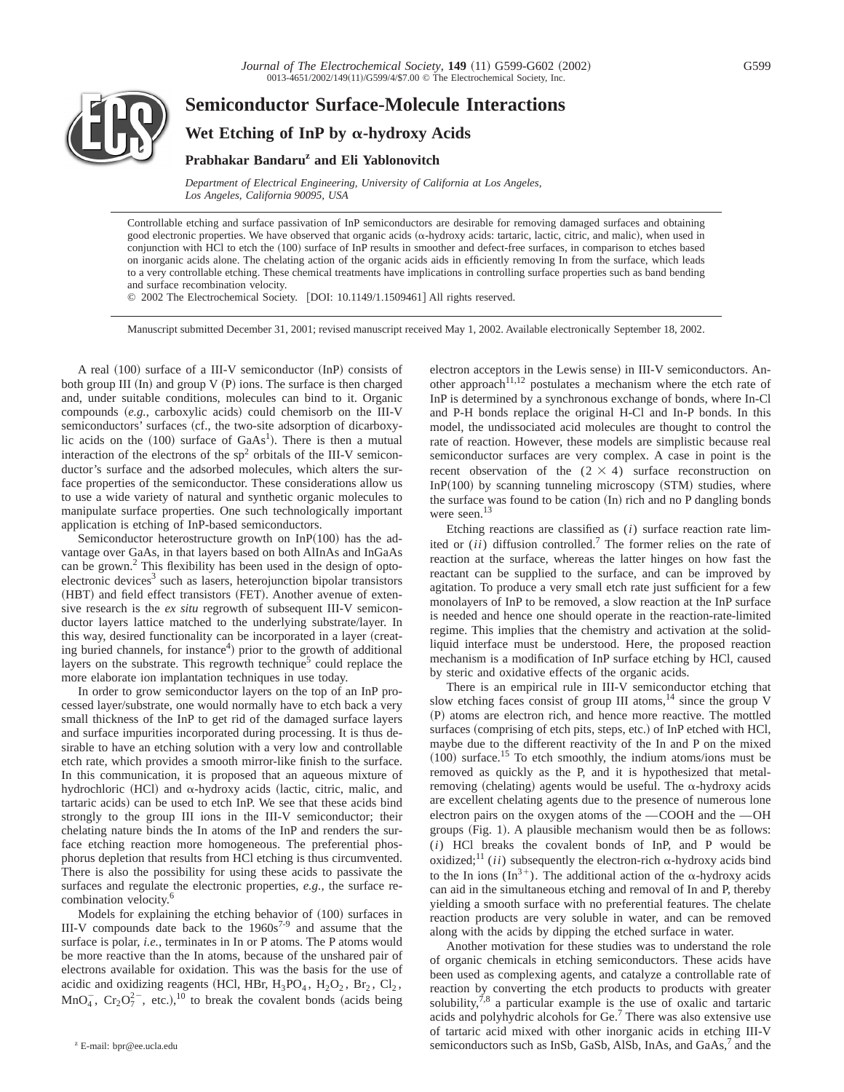

# **Semiconductor Surface-Molecule Interactions Wet Etching of InP by** a**-hydroxy Acids Prabhakar Bandaruz and Eli Yablonovitch**

*Department of Electrical Engineering, University of California at Los Angeles, Los Angeles, California 90095, USA*

Controllable etching and surface passivation of InP semiconductors are desirable for removing damaged surfaces and obtaining good electronic properties. We have observed that organic acids  $(\alpha$ -hydroxy acids: tartaric, lactic, citric, and malic), when used in conjunction with HCl to etch the (100) surface of InP results in smoother and defect-free surfaces, in comparison to etches based on inorganic acids alone. The chelating action of the organic acids aids in efficiently removing In from the surface, which leads to a very controllable etching. These chemical treatments have implications in controlling surface properties such as band bending and surface recombination velocity.

© 2002 The Electrochemical Society. [DOI: 10.1149/1.1509461] All rights reserved.

Manuscript submitted December 31, 2001; revised manuscript received May 1, 2002. Available electronically September 18, 2002.

A real  $(100)$  surface of a III-V semiconductor  $(InP)$  consists of both group III  $(In)$  and group V  $(P)$  ions. The surface is then charged and, under suitable conditions, molecules can bind to it. Organic compounds (e.g., carboxylic acids) could chemisorb on the III-V semiconductors' surfaces (cf., the two-site adsorption of dicarboxylic acids on the  $(100)$  surface of  $GaAs<sup>1</sup>$ ). There is then a mutual interaction of the electrons of the  $sp<sup>2</sup>$  orbitals of the III-V semiconductor's surface and the adsorbed molecules, which alters the surface properties of the semiconductor. These considerations allow us to use a wide variety of natural and synthetic organic molecules to manipulate surface properties. One such technologically important application is etching of InP-based semiconductors.

Semiconductor heterostructure growth on In $P(100)$  has the advantage over GaAs, in that layers based on both AlInAs and InGaAs can be grown.<sup>2</sup> This flexibility has been used in the design of optoelectronic devices<sup>3</sup> such as lasers, heterojunction bipolar transistors (HBT) and field effect transistors (FET). Another avenue of extensive research is the *ex situ* regrowth of subsequent III-V semiconductor layers lattice matched to the underlying substrate/layer. In this way, desired functionality can be incorporated in a layer (creating buried channels, for instance<sup>4</sup>) prior to the growth of additional layers on the substrate. This regrowth technique<sup>5</sup> could replace the more elaborate ion implantation techniques in use today.

In order to grow semiconductor layers on the top of an InP processed layer/substrate, one would normally have to etch back a very small thickness of the InP to get rid of the damaged surface layers and surface impurities incorporated during processing. It is thus desirable to have an etching solution with a very low and controllable etch rate, which provides a smooth mirror-like finish to the surface. In this communication, it is proposed that an aqueous mixture of hydrochloric (HCl) and  $\alpha$ -hydroxy acids (lactic, citric, malic, and tartaric acids) can be used to etch InP. We see that these acids bind strongly to the group III ions in the III-V semiconductor; their chelating nature binds the In atoms of the InP and renders the surface etching reaction more homogeneous. The preferential phosphorus depletion that results from HCl etching is thus circumvented. There is also the possibility for using these acids to passivate the surfaces and regulate the electronic properties, *e.g.*, the surface recombination velocity.6

Models for explaining the etching behavior of  $(100)$  surfaces in III-V compounds date back to the  $1960s^{7-9}$  and assume that the surface is polar, *i.e.*, terminates in In or P atoms. The P atoms would be more reactive than the In atoms, because of the unshared pair of electrons available for oxidation. This was the basis for the use of acidic and oxidizing reagents (HCl, HBr,  $H_3PO_4$ ,  $H_2O_2$ ,  $Br_2$ ,  $Cl_2$ ,  $MnO<sub>4</sub>$ ,  $Cr<sub>2</sub>O<sub>7</sub><sup>2</sup>$ , etc.),<sup>10</sup> to break the covalent bonds (acids being

electron acceptors in the Lewis sense) in III-V semiconductors. Another approach<sup>11,12</sup> postulates a mechanism where the etch rate of InP is determined by a synchronous exchange of bonds, where In-Cl and P-H bonds replace the original H-Cl and In-P bonds. In this model, the undissociated acid molecules are thought to control the rate of reaction. However, these models are simplistic because real semiconductor surfaces are very complex. A case in point is the recent observation of the  $(2 \times 4)$  surface reconstruction on In $P(100)$  by scanning tunneling microscopy (STM) studies, where the surface was found to be cation (In) rich and no P dangling bonds were seen.<sup>13</sup>

Etching reactions are classified as (*i*) surface reaction rate limited or (*ii*) diffusion controlled.7 The former relies on the rate of reaction at the surface, whereas the latter hinges on how fast the reactant can be supplied to the surface, and can be improved by agitation. To produce a very small etch rate just sufficient for a few monolayers of InP to be removed, a slow reaction at the InP surface is needed and hence one should operate in the reaction-rate-limited regime. This implies that the chemistry and activation at the solidliquid interface must be understood. Here, the proposed reaction mechanism is a modification of InP surface etching by HCl, caused by steric and oxidative effects of the organic acids.

There is an empirical rule in III-V semiconductor etching that slow etching faces consist of group III atoms,<sup>14</sup> since the group V (P) atoms are electron rich, and hence more reactive. The mottled surfaces (comprising of etch pits, steps, etc.) of InP etched with HCl, maybe due to the different reactivity of the In and P on the mixed  $(100)$  surface.<sup>15</sup> To etch smoothly, the indium atoms/ions must be removed as quickly as the P, and it is hypothesized that metalremoving (chelating) agents would be useful. The  $\alpha$ -hydroxy acids are excellent chelating agents due to the presence of numerous lone electron pairs on the oxygen atoms of the  $-COOH$  and the  $-OH$ groups  $(Fig. 1)$ . A plausible mechanism would then be as follows: (*i*) HCl breaks the covalent bonds of InP, and P would be oxidized;<sup>11</sup> (*ii*) subsequently the electron-rich  $\alpha$ -hydroxy acids bind to the In ions  $(\text{In}^{3+})$ . The additional action of the  $\alpha$ -hydroxy acids can aid in the simultaneous etching and removal of In and P, thereby yielding a smooth surface with no preferential features. The chelate reaction products are very soluble in water, and can be removed along with the acids by dipping the etched surface in water.

Another motivation for these studies was to understand the role of organic chemicals in etching semiconductors. These acids have been used as complexing agents, and catalyze a controllable rate of reaction by converting the etch products to products with greater solubility, $^{7,8}$  a particular example is the use of oxalic and tartaric acids and polyhydric alcohols for Ge.7 There was also extensive use of tartaric acid mixed with other inorganic acids in etching III-V <sup>z</sup> E-mail: bpr@ee.ucla.edu **semiconductors** such as InSb, GaSb, AlSb, InAs, and GaAs,<sup>7</sup> and the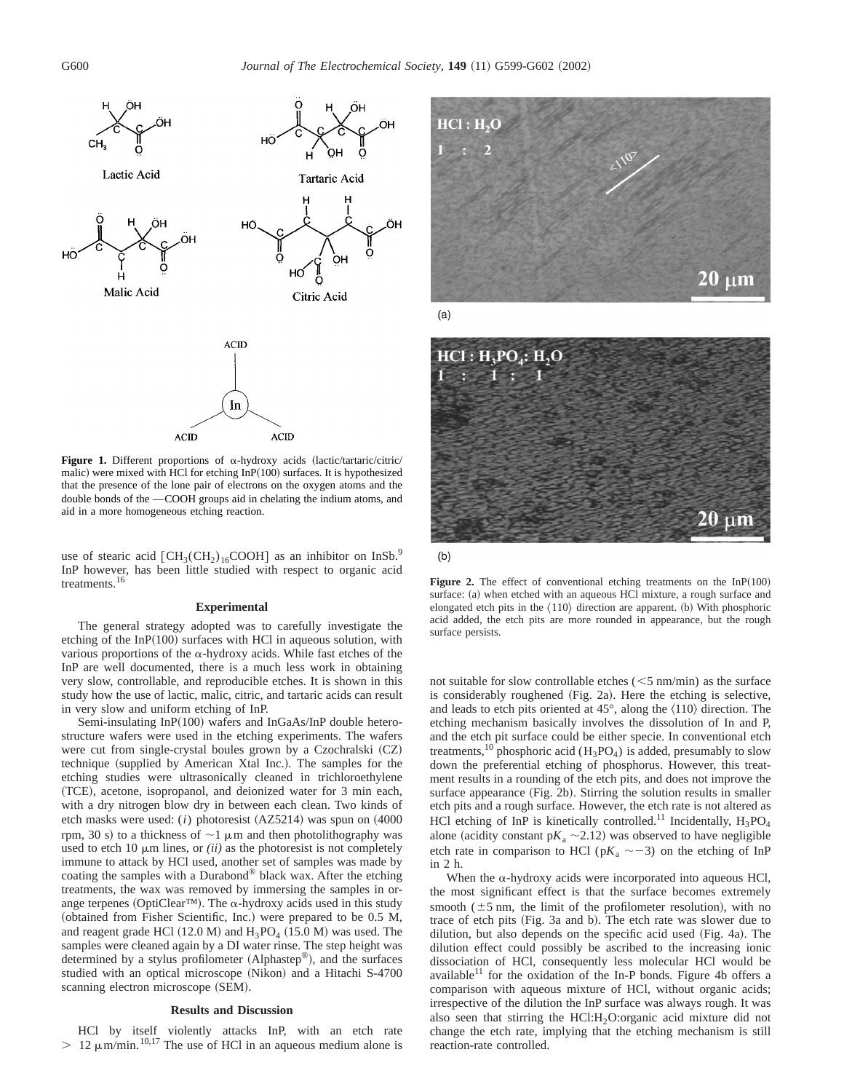

**Figure 1.** Different proportions of  $\alpha$ -hydroxy acids (lactic/tartaric/citric/ malic) were mixed with HCl for etching  $InP(100)$  surfaces. It is hypothesized that the presence of the lone pair of electrons on the oxygen atoms and the double bonds of the —COOH groups aid in chelating the indium atoms, and aid in a more homogeneous etching reaction.

use of stearic acid  $[CH_3(CH_2)_{16}COOH]$  as an inhibitor on InSb.<sup>9</sup> InP however, has been little studied with respect to organic acid treatments.16

## **Experimental**

The general strategy adopted was to carefully investigate the etching of the  $InP(100)$  surfaces with HCl in aqueous solution, with various proportions of the  $\alpha$ -hydroxy acids. While fast etches of the InP are well documented, there is a much less work in obtaining very slow, controllable, and reproducible etches. It is shown in this study how the use of lactic, malic, citric, and tartaric acids can result in very slow and uniform etching of InP.

Semi-insulating In $P(100)$  wafers and InGaAs/InP double heterostructure wafers were used in the etching experiments. The wafers were cut from single-crystal boules grown by a Czochralski (CZ) technique (supplied by American Xtal Inc.). The samples for the etching studies were ultrasonically cleaned in trichloroethylene (TCE), acetone, isopropanol, and deionized water for 3 min each, with a dry nitrogen blow dry in between each clean. Two kinds of etch masks were used:  $(i)$  photoresist  $(AZ5214)$  was spun on  $(4000$ rpm, 30 s) to a thickness of  $\sim$ 1  $\mu$ m and then photolithography was used to etch 10  $\mu$ m lines, or *(ii)* as the photoresist is not completely immune to attack by HCl used, another set of samples was made by coating the samples with a Durabond® black wax. After the etching treatments, the wax was removed by immersing the samples in orange terpenes (OptiClear™). The  $\alpha$ -hydroxy acids used in this study (obtained from Fisher Scientific, Inc.) were prepared to be 0.5 M, and reagent grade HCl  $(12.0 M)$  and  $H_3PO_4$   $(15.0 M)$  was used. The samples were cleaned again by a DI water rinse. The step height was determined by a stylus profilometer (Alphastep®), and the surfaces studied with an optical microscope (Nikon) and a Hitachi S-4700 scanning electron microscope (SEM).

#### **Results and Discussion**

HCl by itself violently attacks InP, with an etch rate  $> 12 \mu$ m/min.<sup>10,17</sup> The use of HCl in an aqueous medium alone is





 $(b)$ 

Figure 2. The effect of conventional etching treatments on the  $InP(100)$ surface: (a) when etched with an aqueous HCl mixture, a rough surface and elongated etch pits in the  $\langle 110 \rangle$  direction are apparent. (b) With phosphoric acid added, the etch pits are more rounded in appearance, but the rough surface persists.

not suitable for slow controllable etches  $(<5$  nm/min) as the surface is considerably roughened (Fig. 2a). Here the etching is selective, and leads to etch pits oriented at  $45^{\circ}$ , along the  $\langle 110 \rangle$  direction. The etching mechanism basically involves the dissolution of In and P, and the etch pit surface could be either specie. In conventional etch treatments,<sup>10</sup> phosphoric acid ( $H_3PO_4$ ) is added, presumably to slow down the preferential etching of phosphorus. However, this treatment results in a rounding of the etch pits, and does not improve the surface appearance  $(Fig. 2b)$ . Stirring the solution results in smaller etch pits and a rough surface. However, the etch rate is not altered as HCl etching of InP is kinetically controlled.<sup>11</sup> Incidentally,  $H_3PO_4$ alone (acidity constant  $pK_a \sim 2.12$ ) was observed to have negligible etch rate in comparison to HCl ( $pK_a \sim -3$ ) on the etching of InP in 2 h.

When the  $\alpha$ -hydroxy acids were incorporated into aqueous HCl, the most significant effect is that the surface becomes extremely smooth ( $\pm$ 5 nm, the limit of the profilometer resolution), with no trace of etch pits (Fig. 3a and b). The etch rate was slower due to dilution, but also depends on the specific acid used  $(Fig. 4a)$ . The dilution effect could possibly be ascribed to the increasing ionic dissociation of HCl, consequently less molecular HCl would be available $^{11}$  for the oxidation of the In-P bonds. Figure 4b offers a comparison with aqueous mixture of HCl, without organic acids; irrespective of the dilution the InP surface was always rough. It was also seen that stirring the  $HCl:H<sub>2</sub>O:organic acid mixture did not$ change the etch rate, implying that the etching mechanism is still reaction-rate controlled.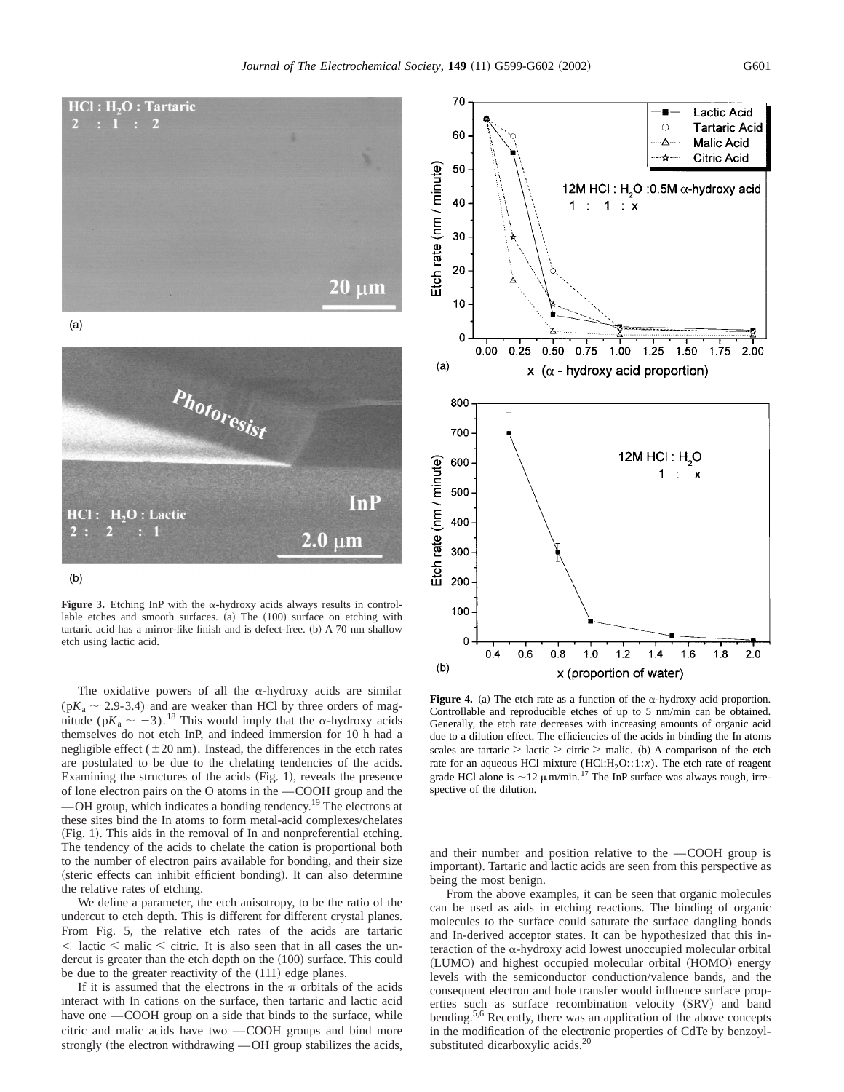$20 \mu m$ 



 $(a)$ 



 $(b)$ 

**Figure 3.** Etching InP with the  $\alpha$ -hydroxy acids always results in controllable etches and smooth surfaces. (a) The (100) surface on etching with tartaric acid has a mirror-like finish and is defect-free. (b) A 70 nm shallow etch using lactic acid.

The oxidative powers of all the  $\alpha$ -hydroxy acids are similar  $(pK_a \sim 2.9 - 3.4)$  and are weaker than HCl by three orders of magnitude (p $K_a \sim -3$ ).<sup>18</sup> This would imply that the  $\alpha$ -hydroxy acids themselves do not etch InP, and indeed immersion for 10 h had a negligible effect  $(\pm 20 \text{ nm})$ . Instead, the differences in the etch rates are postulated to be due to the chelating tendencies of the acids. Examining the structures of the acids  $(Fig. 1)$ , reveals the presence of lone electron pairs on the  $O$  atoms in the  $-COOH$  group and the

 $-$ OH group, which indicates a bonding tendency.<sup>19</sup> The electrons at these sites bind the In atoms to form metal-acid complexes/chelates (Fig. 1). This aids in the removal of In and nonpreferential etching. The tendency of the acids to chelate the cation is proportional both to the number of electron pairs available for bonding, and their size (steric effects can inhibit efficient bonding). It can also determine the relative rates of etching.

We define a parameter, the etch anisotropy, to be the ratio of the undercut to etch depth. This is different for different crystal planes. From Fig. 5, the relative etch rates of the acids are tartaric  $\langle$  lactic  $\langle$  malic  $\langle$  citric. It is also seen that in all cases the undercut is greater than the etch depth on the (100) surface. This could be due to the greater reactivity of the  $(111)$  edge planes.

If it is assumed that the electrons in the  $\pi$  orbitals of the acids interact with In cations on the surface, then tartaric and lactic acid have one —COOH group on a side that binds to the surface, while citric and malic acids have two  $-$  COOH groups and bind more strongly (the electron withdrawing -OH group stabilizes the acids,



**Figure 4.** (a) The etch rate as a function of the  $\alpha$ -hydroxy acid proportion. Controllable and reproducible etches of up to 5 nm/min can be obtained. Generally, the etch rate decreases with increasing amounts of organic acid due to a dilution effect. The efficiencies of the acids in binding the In atoms scales are tartaric  $>$  lactic  $>$  citric  $>$  malic. (b) A comparison of the etch rate for an aqueous HCl mixture  $(HCl:H_2O::1:x)$ . The etch rate of reagent grade HCl alone is  $\sim$ 12  $\mu$ m/min.<sup>17</sup> The InP surface was always rough, irrespective of the dilution.

and their number and position relative to the  $-COOH$  group is important). Tartaric and lactic acids are seen from this perspective as being the most benign.

From the above examples, it can be seen that organic molecules can be used as aids in etching reactions. The binding of organic molecules to the surface could saturate the surface dangling bonds and In-derived acceptor states. It can be hypothesized that this interaction of the  $\alpha$ -hydroxy acid lowest unoccupied molecular orbital (LUMO) and highest occupied molecular orbital (HOMO) energy levels with the semiconductor conduction/valence bands, and the consequent electron and hole transfer would influence surface properties such as surface recombination velocity (SRV) and band bending.5,6 Recently, there was an application of the above concepts in the modification of the electronic properties of CdTe by benzoylsubstituted dicarboxylic acids.<sup>20</sup>